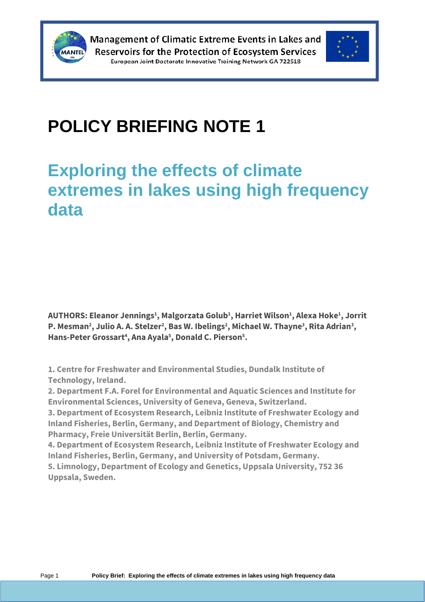



# **POLICY BRIEFING NOTE 1**

## **Exploring the effects of climate extremes in lakes using high frequency data**

**AUTHORS: Eleanor Jennings<sup>1</sup> , Malgorzata Golub<sup>1</sup> , Harriet Wilson<sup>1</sup> , Alexa Hoke<sup>1</sup> , Jorrit P. Mesman<sup>2</sup> , Julio A. A. Stelzer<sup>2</sup> , Bas W. Ibelings<sup>2</sup> , Michael W. Thayne<sup>3</sup> , Rita Adrian<sup>3</sup> , Hans-Peter Grossart<sup>4</sup> , Ana Ayala<sup>5</sup> , Donald C. Pierson<sup>5</sup> .**

**1. Centre for Freshwater and Environmental Studies, Dundalk Institute of Technology, Ireland.**

**2. Department F.A. Forel for Environmental and Aquatic Sciences and Institute for Environmental Sciences, University of Geneva, Geneva, Switzerland.**

**3. Department of Ecosystem Research, Leibniz Institute of Freshwater Ecology and Inland Fisheries, Berlin, Germany, and Department of Biology, Chemistry and Pharmacy, Freie Universität Berlin, Berlin, Germany.**

**4. Department of Ecosystem Research, Leibniz Institute of Freshwater Ecology and Inland Fisheries, Berlin, Germany, and University of Potsdam, Germany.**

**5. Limnology, Department of Ecology and Genetics, Uppsala University, 752 36 Uppsala, Sweden.**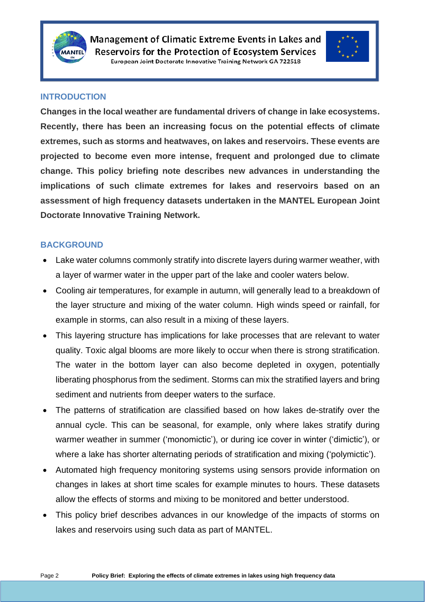



#### **INTRODUCTION**

**Changes in the local weather are fundamental drivers of change in lake ecosystems. Recently, there has been an increasing focus on the potential effects of climate extremes, such as storms and heatwaves, on lakes and reservoirs. These events are projected to become even more intense, frequent and prolonged due to climate change. This policy briefing note describes new advances in understanding the implications of such climate extremes for lakes and reservoirs based on an assessment of high frequency datasets undertaken in the MANTEL European Joint Doctorate Innovative Training Network.**

#### **BACKGROUND**

- Lake water columns commonly stratify into discrete layers during warmer weather, with a layer of warmer water in the upper part of the lake and cooler waters below.
- Cooling air temperatures, for example in autumn, will generally lead to a breakdown of the layer structure and mixing of the water column. High winds speed or rainfall, for example in storms, can also result in a mixing of these layers.
- This layering structure has implications for lake processes that are relevant to water quality. Toxic algal blooms are more likely to occur when there is strong stratification. The water in the bottom layer can also become depleted in oxygen, potentially liberating phosphorus from the sediment. Storms can mix the stratified layers and bring sediment and nutrients from deeper waters to the surface.
- The patterns of stratification are classified based on how lakes de-stratify over the annual cycle. This can be seasonal, for example, only where lakes stratify during warmer weather in summer ('monomictic'), or during ice cover in winter ('dimictic'), or where a lake has shorter alternating periods of stratification and mixing ('polymictic').
- Automated high frequency monitoring systems using sensors provide information on changes in lakes at short time scales for example minutes to hours. These datasets allow the effects of storms and mixing to be monitored and better understood.
- This policy brief describes advances in our knowledge of the impacts of storms on lakes and reservoirs using such data as part of MANTEL.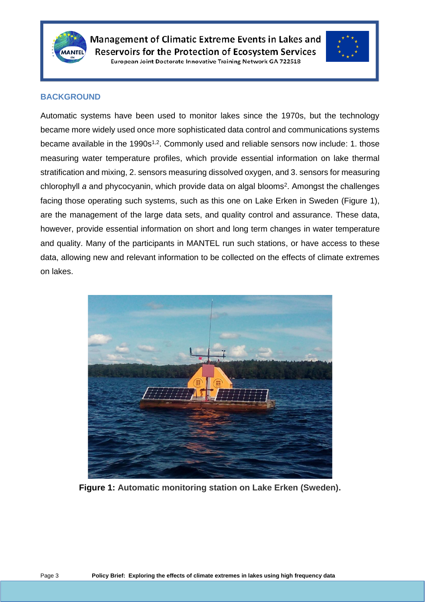



#### **BACKGROUND**

Automatic systems have been used to monitor lakes since the 1970s, but the technology became more widely used once more sophisticated data control and communications systems became available in the 1990s<sup>1,2</sup>. Commonly used and reliable sensors now include: 1. those measuring water temperature profiles, which provide essential information on lake thermal stratification and mixing, 2. sensors measuring dissolved oxygen, and 3. sensors for measuring chlorophyll a and phycocyanin, which provide data on algal blooms<sup>2</sup>. Amongst the challenges facing those operating such systems, such as this one on Lake Erken in Sweden (Figure 1), are the management of the large data sets, and quality control and assurance. These data, however, provide essential information on short and long term changes in water temperature and quality. Many of the participants in MANTEL run such stations, or have access to these data, allowing new and relevant information to be collected on the effects of climate extremes on lakes.



**Figure 1: Automatic monitoring station on Lake Erken (Sweden).**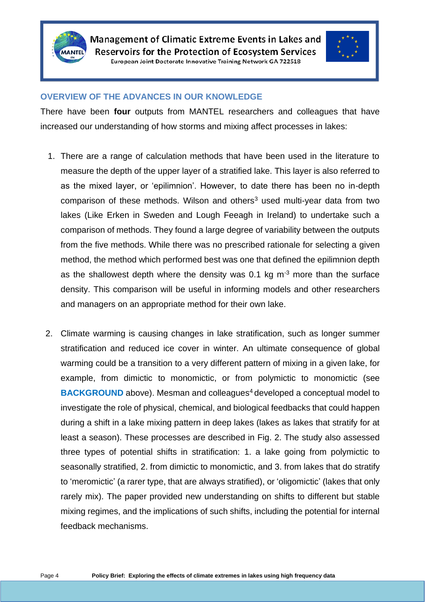



#### **OVERVIEW OF THE ADVANCES IN OUR KNOWLEDGE**

There have been **four** outputs from MANTEL researchers and colleagues that have increased our understanding of how storms and mixing affect processes in lakes:

- 1. There are a range of calculation methods that have been used in the literature to measure the depth of the upper layer of a stratified lake. This layer is also referred to as the mixed layer, or 'epilimnion'. However, to date there has been no in-depth comparison of these methods. Wilson and others<sup>3</sup> used multi-year data from two lakes (Like Erken in Sweden and Lough Feeagh in Ireland) to undertake such a comparison of methods. They found a large degree of variability between the outputs from the five methods. While there was no prescribed rationale for selecting a given method, the method which performed best was one that defined the epilimnion depth as the shallowest depth where the density was 0.1 kg  $m<sup>-3</sup>$  more than the surface density. This comparison will be useful in informing models and other researchers and managers on an appropriate method for their own lake.
- 2. Climate warming is causing changes in lake stratification, such as longer summer stratification and reduced ice cover in winter. An ultimate consequence of global warming could be a transition to a very different pattern of mixing in a given lake, for example, from dimictic to monomictic, or from polymictic to monomictic (see **BACKGROUND** above). Mesman and colleagues<sup>4</sup> developed a conceptual model to investigate the role of physical, chemical, and biological feedbacks that could happen during a shift in a lake mixing pattern in deep lakes (lakes as lakes that stratify for at least a season). These processes are described in Fig. 2. The study also assessed three types of potential shifts in stratification: 1. a lake going from polymictic to seasonally stratified, 2. from dimictic to monomictic, and 3. from lakes that do stratify to 'meromictic' (a rarer type, that are always stratified), or 'oligomictic' (lakes that only rarely mix). The paper provided new understanding on shifts to different but stable mixing regimes, and the implications of such shifts, including the potential for internal feedback mechanisms.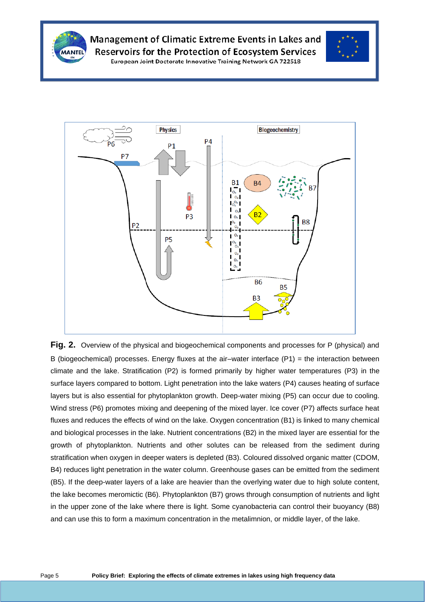

### Management of Climatic Extreme Events in Lakes and **Reservoirs for the Protection of Ecosystem Services**



European Joint Doctorate Innovative Training Network GA 722518



**Fig. 2.** Overview of the physical and biogeochemical components and processes for P (physical) and B (biogeochemical) processes. Energy fluxes at the air–water interface  $(P1)$  = the interaction between climate and the lake. Stratification (P2) is formed primarily by higher water temperatures (P3) in the surface layers compared to bottom. Light penetration into the lake waters (P4) causes heating of surface layers but is also essential for phytoplankton growth. Deep-water mixing (P5) can occur due to cooling. Wind stress (P6) promotes mixing and deepening of the mixed layer. Ice cover (P7) affects surface heat fluxes and reduces the effects of wind on the lake. Oxygen concentration (B1) is linked to many chemical and biological processes in the lake. Nutrient concentrations (B2) in the mixed layer are essential for the growth of phytoplankton. Nutrients and other solutes can be released from the sediment during stratification when oxygen in deeper waters is depleted (B3). Coloured dissolved organic matter (CDOM, B4) reduces light penetration in the water column. Greenhouse gases can be emitted from the sediment (B5). If the deep-water layers of a lake are heavier than the overlying water due to high solute content, the lake becomes meromictic (B6). Phytoplankton (B7) grows through consumption of nutrients and light in the upper zone of the lake where there is light. Some cyanobacteria can control their buoyancy (B8) and can use this to form a maximum concentration in the metalimnion, or middle layer, of the lake.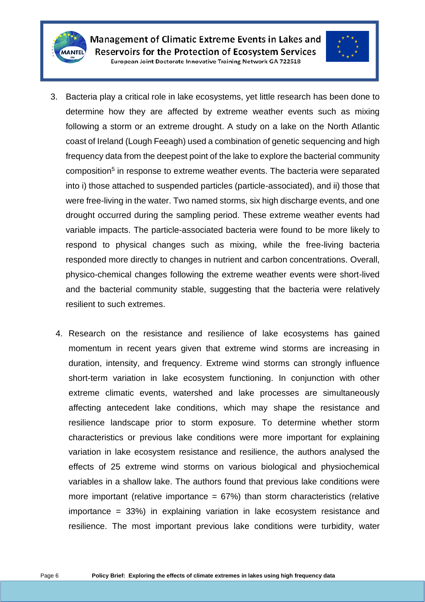



- 3. Bacteria play a critical role in lake ecosystems, yet little research has been done to determine how they are affected by extreme weather events such as mixing following a storm or an extreme drought. A study on a lake on the North Atlantic coast of Ireland (Lough Feeagh) used a combination of genetic sequencing and high frequency data from the deepest point of the lake to explore the bacterial community composition<sup>5</sup> in response to extreme weather events. The bacteria were separated into i) those attached to suspended particles (particle-associated), and ii) those that were free-living in the water. Two named storms, six high discharge events, and one drought occurred during the sampling period. These extreme weather events had variable impacts. The particle-associated bacteria were found to be more likely to respond to physical changes such as mixing, while the free-living bacteria responded more directly to changes in nutrient and carbon concentrations. Overall, physico-chemical changes following the extreme weather events were short-lived and the bacterial community stable, suggesting that the bacteria were relatively resilient to such extremes.
	- 4. Research on the resistance and resilience of lake ecosystems has gained momentum in recent years given that extreme wind storms are increasing in duration, intensity, and frequency. Extreme wind storms can strongly influence short-term variation in lake ecosystem functioning. In conjunction with other extreme climatic events, watershed and lake processes are simultaneously affecting antecedent lake conditions, which may shape the resistance and resilience landscape prior to storm exposure. To determine whether storm characteristics or previous lake conditions were more important for explaining variation in lake ecosystem resistance and resilience, the authors analysed the effects of 25 extreme wind storms on various biological and physiochemical variables in a shallow lake. The authors found that previous lake conditions were more important (relative importance  $= 67\%$ ) than storm characteristics (relative importance = 33%) in explaining variation in lake ecosystem resistance and resilience. The most important previous lake conditions were turbidity, water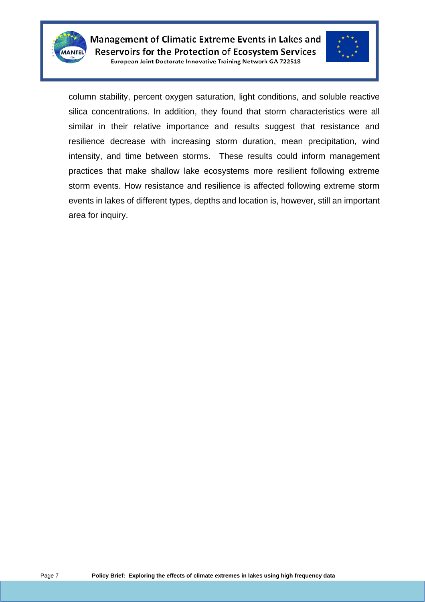



column stability, percent oxygen saturation, light conditions, and soluble reactive silica concentrations. In addition, they found that storm characteristics were all similar in their relative importance and results suggest that resistance and resilience decrease with increasing storm duration, mean precipitation, wind intensity, and time between storms. These results could inform management practices that make shallow lake ecosystems more resilient following extreme storm events. How resistance and resilience is affected following extreme storm events in lakes of different types, depths and location is, however, still an important area for inquiry.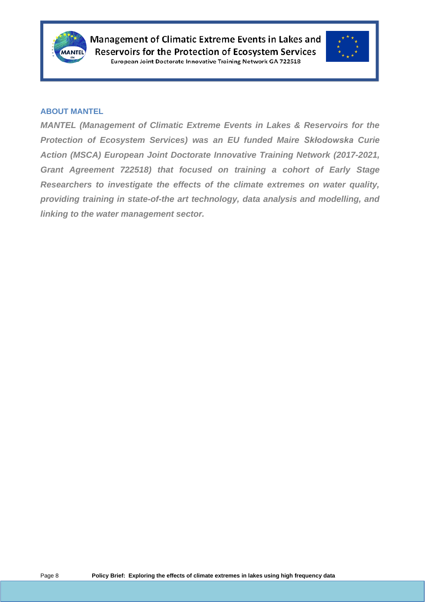



#### **ABOUT MANTEL**

*MANTEL (Management of Climatic Extreme Events in Lakes & Reservoirs for the Protection of Ecosystem Services) was an EU funded Maire Skłodowska Curie Action (MSCA) European Joint Doctorate Innovative Training Network (2017-2021, Grant Agreement 722518) that focused on training a cohort of Early Stage Researchers to investigate the effects of the climate extremes on water quality, providing training in state-of-the art technology, data analysis and modelling, and linking to the water management sector.*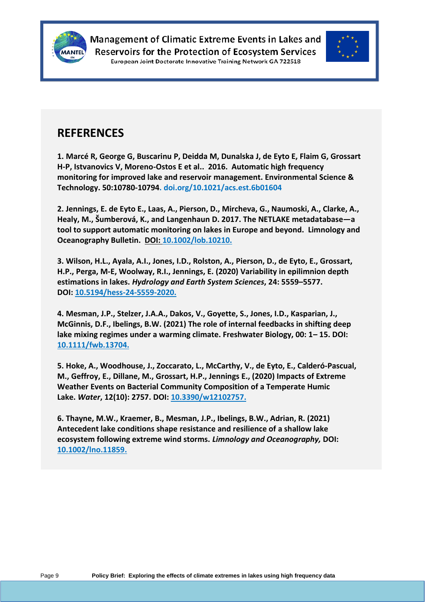



### **REFERENCES**

**1. Marcé R, George G, Buscarinu P, Deidda M, Dunalska J, de Eyto E, Flaim G, Grossart H-P, Istvanovics V, Moreno-Ostos E et al.. 2016. Automatic high frequency monitoring for improved lake and reservoir management. Environmental Science & Technology. 50:10780-10794. doi.org/10.1021/acs.est.6b01604**

**2. Jennings, E. de Eyto E., Laas, A., Pierson, D., Mircheva, G., Naumoski, A., Clarke, A., Healy, M., Šumberová, K., and Langenhaun D. 2017. The NETLAKE metadatabase—a tool to support automatic monitoring on lakes in Europe and beyond. Limnology and Oceanography Bulletin. DOI: 10.1002/lob.10210.**

**3. Wilson, H.L., Ayala, A.I., Jones, I.D., Rolston, A., Pierson, D., de Eyto, E., Grossart, H.P., Perga, M-E, Woolway, R.I., Jennings, E. (2020) Variability in epilimnion depth estimations in lakes.** *Hydrology and Earth System Sciences***, 24: 5559–5577. DOI: [10.5194/hess-24-5559-2020.](https://doi.org/10.5194/hess-24-5559-2020)**

**4. Mesman, J.P., Stelzer, J.A.A., Dakos, V., Goyette, S., Jones, I.D., Kasparian, J., McGinnis, D.F., Ibelings, B.W. (2021) The role of internal feedbacks in shifting deep lake mixing regimes under a warming climate. Freshwater Biology, 00: 1– 15. DOI: 10.1111/fwb.13704.**

**5. Hoke, A., Woodhouse, J., Zoccarato, L., McCarthy, V., de Eyto, E., Calderó-Pascual, M., Geffroy, E., Dillane, M., Grossart, H.P., Jennings E., (2020) Impacts of Extreme Weather Events on Bacterial Community Composition of a Temperate Humic Lake.** *Water***, 12(10): 2757. DOI: [10.3390/w12102757.](https://doi.org/10.3390/w12102757)**

**6. Thayne, M.W., Kraemer, B., Mesman, J.P., Ibelings, B.W., Adrian, R. (2021) Antecedent lake conditions shape resistance and resilience of a shallow lake ecosystem following extreme wind storms.** *Limnology and Oceanography,* **DOI: [10.1002/lno.11859.](https://doi.org/10.1002/lno.11859)**